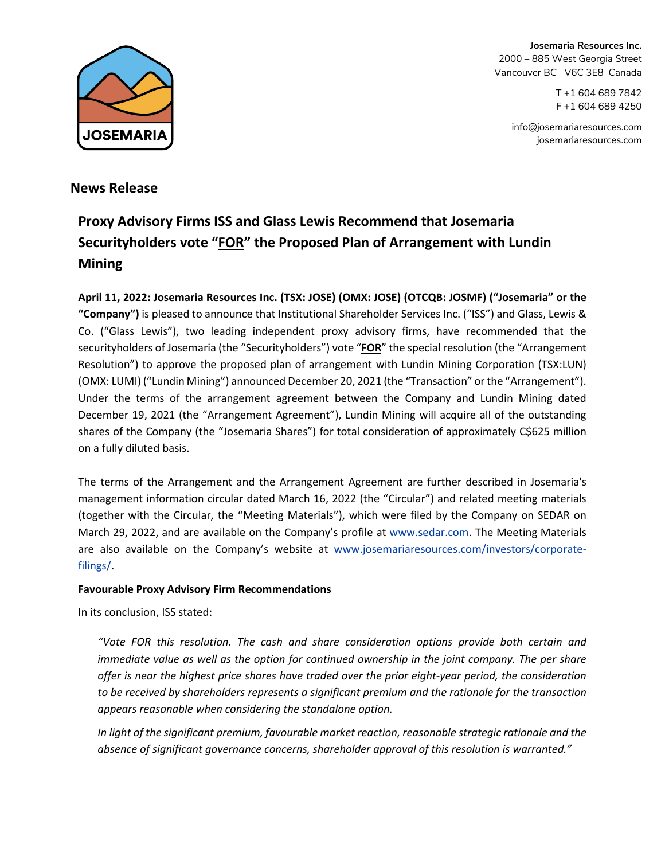

**Josemaria Resources Inc.** 2000 – 885 West Georgia Street Vancouver BC V6C 3E8 Canada

> T +1 604 689 7842 F +1 604 689 4250

[info@josemariaresources.com](mailto:info@josemariaresources.com) josemariaresources.com

## **News Release**

# **Proxy Advisory Firms ISS and Glass Lewis Recommend that Josemaria Securityholders vote "FOR" the Proposed Plan of Arrangement with Lundin Mining**

**April 11, 2022: Josemaria Resources Inc. (TSX: JOSE) (OMX: JOSE) (OTCQB: JOSMF) ("Josemaria" or the "Company")** is pleased to announce that Institutional Shareholder Services Inc. ("ISS") and Glass, Lewis & Co. ("Glass Lewis"), two leading independent proxy advisory firms, have recommended that the securityholders of Josemaria (the "Securityholders") vote "**FOR**" the special resolution (the "Arrangement Resolution") to approve the proposed plan of arrangement with Lundin Mining Corporation (TSX:LUN) (OMX: LUMI) ("Lundin Mining") announced December 20, 2021 (the "Transaction" or the "Arrangement"). Under the terms of the arrangement agreement between the Company and Lundin Mining dated December 19, 2021 (the "Arrangement Agreement"), Lundin Mining will acquire all of the outstanding shares of the Company (the "Josemaria Shares") for total consideration of approximately C\$625 million on a fully diluted basis.

The terms of the Arrangement and the Arrangement Agreement are further described in Josemaria's management information circular dated March 16, 2022 (the "Circular") and related meeting materials (together with the Circular, the "Meeting Materials"), which were filed by the Company on SEDAR on March 29, 2022, and are available on the Company's profile at [www.sedar.com.](http://www.sedar.com/) The Meeting Materials are also available on the Company's website at [www.josemariaresources.com/investors/corporate](http://www.josemariaresources.com/investors/corporate-filings/)[filings/.](http://www.josemariaresources.com/investors/corporate-filings/)

### **Favourable Proxy Advisory Firm Recommendations**

In its conclusion, ISS stated:

*"Vote FOR this resolution. The cash and share consideration options provide both certain and immediate value as well as the option for continued ownership in the joint company. The per share offer is near the highest price shares have traded over the prior eight-year period, the consideration to be received by shareholders represents a significant premium and the rationale for the transaction appears reasonable when considering the standalone option.*

*In light of the significant premium, favourable market reaction, reasonable strategic rationale and the absence of significant governance concerns, shareholder approval of this resolution is warranted."*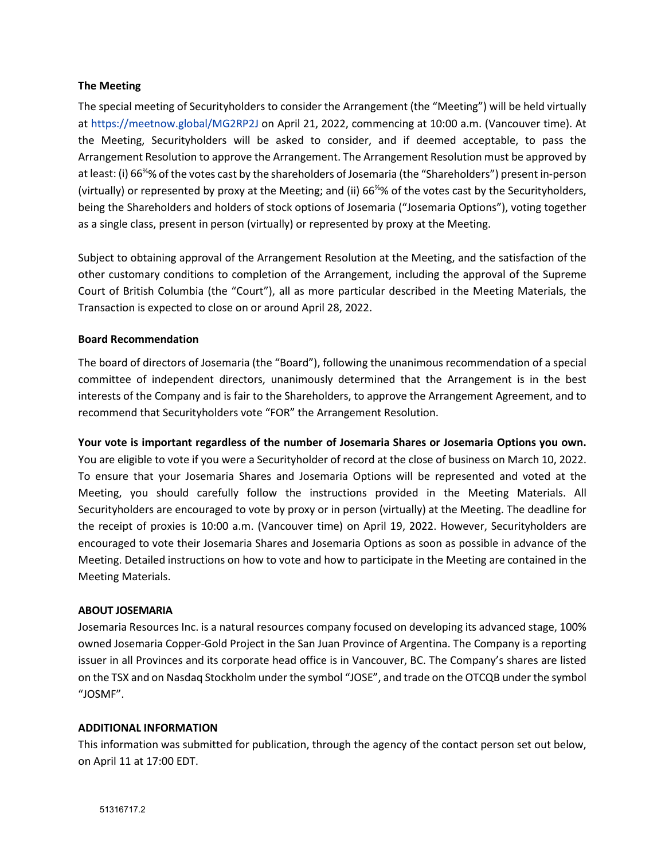#### **The Meeting**

The special meeting of Securityholders to consider the Arrangement (the "Meeting") will be held virtually at<https://meetnow.global/MG2RP2J> on April 21, 2022, commencing at 10:00 a.m. (Vancouver time). At the Meeting, Securityholders will be asked to consider, and if deemed acceptable, to pass the Arrangement Resolution to approve the Arrangement. The Arrangement Resolution must be approved by at least: (i) 66<sup>⅔</sup>% of the votes cast by the shareholders of Josemaria (the "Shareholders") present in-person (virtually) or represented by proxy at the Meeting; and (ii) 66<sup>⅔</sup>% of the votes cast by the Securityholders, being the Shareholders and holders of stock options of Josemaria ("Josemaria Options"), voting together as a single class, present in person (virtually) or represented by proxy at the Meeting.

Subject to obtaining approval of the Arrangement Resolution at the Meeting, and the satisfaction of the other customary conditions to completion of the Arrangement, including the approval of the Supreme Court of British Columbia (the "Court"), all as more particular described in the Meeting Materials, the Transaction is expected to close on or around April 28, 2022.

#### **Board Recommendation**

The board of directors of Josemaria (the "Board"), following the unanimous recommendation of a special committee of independent directors, unanimously determined that the Arrangement is in the best interests of the Company and is fair to the Shareholders, to approve the Arrangement Agreement, and to recommend that Securityholders vote "FOR" the Arrangement Resolution.

**Your vote is important regardless of the number of Josemaria Shares or Josemaria Options you own.** You are eligible to vote if you were a Securityholder of record at the close of business on March 10, 2022. To ensure that your Josemaria Shares and Josemaria Options will be represented and voted at the Meeting, you should carefully follow the instructions provided in the Meeting Materials. All Securityholders are encouraged to vote by proxy or in person (virtually) at the Meeting. The deadline for the receipt of proxies is 10:00 a.m. (Vancouver time) on April 19, 2022. However, Securityholders are encouraged to vote their Josemaria Shares and Josemaria Options as soon as possible in advance of the Meeting. Detailed instructions on how to vote and how to participate in the Meeting are contained in the Meeting Materials.

#### **ABOUT JOSEMARIA**

Josemaria Resources Inc. is a natural resources company focused on developing its advanced stage, 100% owned Josemaria Copper-Gold Project in the San Juan Province of Argentina. The Company is a reporting issuer in all Provinces and its corporate head office is in Vancouver, BC. The Company's shares are listed on the TSX and on Nasdaq Stockholm under the symbol "JOSE", and trade on the OTCQB under the symbol "JOSMF".

#### **ADDITIONAL INFORMATION**

This information was submitted for publication, through the agency of the contact person set out below, on April 11 at 17:00 EDT.